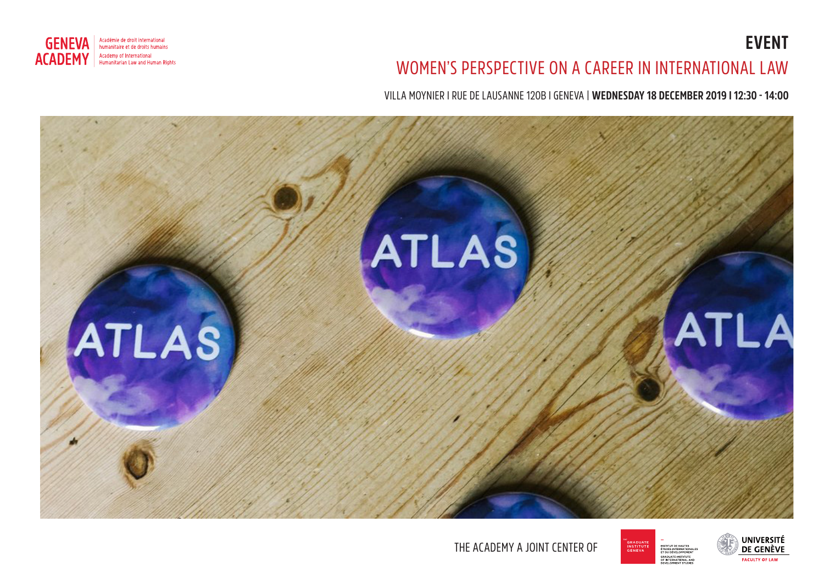



## WOMEN'S PERSPECTIVE ON A CAREER IN INTERNATIONAL LAW

VILLA MOYNIER I RUE DE LAUSANNE 120B I GENEVA | **WEDNESDAY 18 DECEMBER 2019 I 12:30 - 14:00**



THE ACADEMY A JOINT CENTER OF